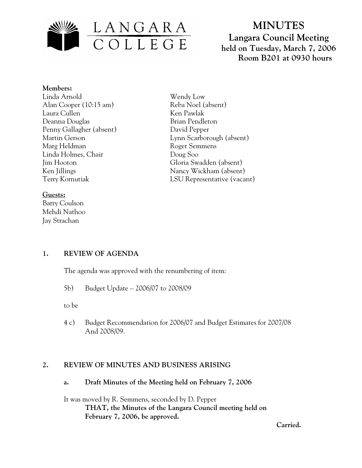

# **MINUTES Langara Council Meeting held on Tuesday, March 7, 2006 Room B201 at 0930 hours**

#### **Members:**

Linda Arnold Alan Cooper (10:15 am) Laura Cullen Deanna Douglas Penny Gallagher (absent) Martin Gerson Marg Heldman Linda Holmes, Chair Jim Hooton Ken Jillings Terry Kornutiak

# **Guests:**

Barry Coulson Mehdi Nathoo Jay Strachan

Wendy Low Reba Noel (absent) Ken Pawlak Brian Pendleton David Pepper Lynn Scarborough (absent) Roger Semmens Doug Soo Gloria Swadden (absent) Nancy Wickham (absent) LSU Representative (vacant)

## **1. REVIEW OF AGENDA**

The agenda was approved with the renumbering of item:

5b) Budget Update – 2006/07 to 2008/09

to be

 4 c) Budget Recommendation for 2006/07 and Budget Estimates for 2007/08 And 2008/09.

## **2. REVIEW OF MINUTES AND BUSINESS ARISING**

**a. Draft Minutes of the Meeting held on February 7, 2006** 

It was moved by R. Semmens, seconded by D. Pepper  **THAT, the Minutes of the Langara Council meeting held on February 7, 2006, be approved.** 

*Carried. Carried.*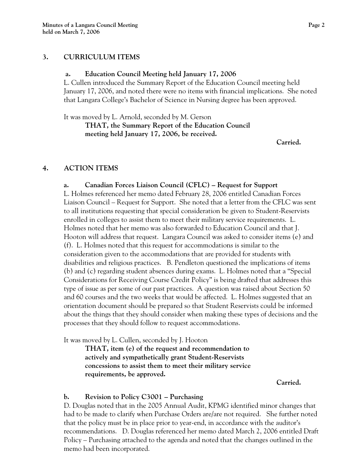## **3. CURRICULUM ITEMS**

## **a. Education Council Meeting held January 17, 2006**

L. Cullen introduced the Summary Report of the Education Council meeting held January 17, 2006, and noted there were no items with financial implications. She noted that Langara College's Bachelor of Science in Nursing degree has been approved.

It was moved by L. Arnold, seconded by M. Gerson

**THAT, the Summary Report of the Education Council meeting held January 17, 2006, be received.** 

*Carried. Carried.* 

# **4. ACTION ITEMS**

 **a. Canadian Forces Liaison Council (CFLC) – Request for Support**  L. Holmes referenced her memo dated February 28, 2006 entitled Canadian Forces

Liaison Council – Request for Support. She noted that a letter from the CFLC was sent to all institutions requesting that special consideration be given to Student-Reservists enrolled in colleges to assist them to meet their military service requirements. L. Holmes noted that her memo was also forwarded to Education Council and that J. Hooton will address that request. Langara Council was asked to consider items (e) and (f). L. Holmes noted that this request for accommodations is similar to the consideration given to the accommodations that are provided for students with disabilities and religious practices. B. Pendleton questioned the implications of items (b) and (c) regarding student absences during exams. L. Holmes noted that a "Special Considerations for Receiving Course Credit Policy" is being drafted that addresses this type of issue as per some of our past practices. A question was raised about Section 50 and 60 courses and the two weeks that would be affected. L. Holmes suggested that an orientation document should be prepared so that Student Reservists could be informed about the things that they should consider when making these types of decisions and the processes that they should follow to request accommodations.

It was moved by L. Cullen, seconded by J. Hooton

**THAT, item (e) of the request and recommendation to actively and sympathetically grant Student-Reservists concessions to assist them to meet their military service requirements, be approved.** 

*Carried. Carried.* 

## **b. Revision to Policy C3001 – Purchasing**

D. Douglas noted that in the 2005 Annual Audit, KPMG identified minor changes that had to be made to clarify when Purchase Orders are/are not required. She further noted that the policy must be in place prior to year-end, in accordance with the auditor's recommendations. D. Douglas referenced her memo dated March 2, 2006 entitled Draft Policy – Purchasing attached to the agenda and noted that the changes outlined in the memo had been incorporated.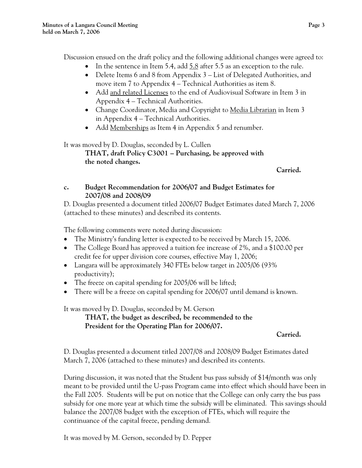Discussion ensued on the draft policy and the following additional changes were agreed to:

- In the sentence in Item 5.4, add  $5.8$  after 5.5 as an exception to the rule.
- Delete Items 6 and 8 from Appendix 3 List of Delegated Authorities, and move item 7 to Appendix 4 – Technical Authorities as item 8.
- Add and related Licenses to the end of Audiovisual Software in Item 3 in Appendix 4 – Technical Authorities.
- Change Coordinator, Media and Copyright to Media Librarian in Item 3 in Appendix 4 – Technical Authorities.
- Add Memberships as Item 4 in Appendix 5 and renumber.

It was moved by D. Douglas, seconded by L. Cullen

**THAT, draft Policy C3001 – Purchasing, be approved with the noted changes.** 

*Carried. Carried.* 

# **c. Budget Recommendation for 2006/07 and Budget Estimates for 2007/08 and 2008/09**

D. Douglas presented a document titled 2006/07 Budget Estimates dated March 7, 2006 (attached to these minutes) and described its contents.

The following comments were noted during discussion:

- The Ministry's funding letter is expected to be received by March 15, 2006.
- The College Board has approved a tuition fee increase of 2%, and a \$100.00 per credit fee for upper division core courses, effective May 1, 2006;
- Langara will be approximately 340 FTEs below target in 2005/06 (93%) productivity);
- The freeze on capital spending for 2005/06 will be lifted;
- There will be a freeze on capital spending for 2006/07 until demand is known.

It was moved by D. Douglas, seconded by M. Gerson

**THAT, the budget as described, be recommended to the President for the Operating Plan for 2006/07.** 

# *Carried. Carried.*

D. Douglas presented a document titled 2007/08 and 2008/09 Budget Estimates dated March 7, 2006 (attached to these minutes) and described its contents.

During discussion, it was noted that the Student bus pass subsidy of \$14/month was only meant to be provided until the U-pass Program came into effect which should have been in the Fall 2005. Students will be put on notice that the College can only carry the bus pass subsidy for one more year at which time the subsidy will be eliminated. This savings should balance the 2007/08 budget with the exception of FTEs, which will require the continuance of the capital freeze, pending demand.

It was moved by M. Gerson, seconded by D. Pepper